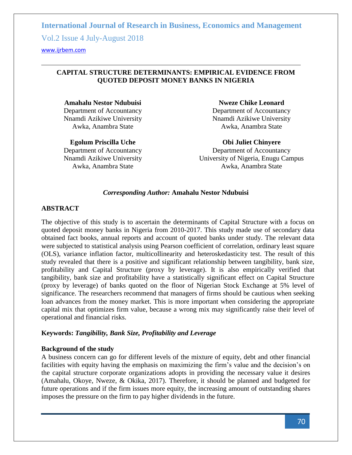Vol.2 Issue 4 July-August 2018

<www.ijrbem.com>

# **CAPITAL STRUCTURE DETERMINANTS: EMPIRICAL EVIDENCE FROM QUOTED DEPOSIT MONEY BANKS IN NIGERIA**

**Amahalu Nestor Ndubuisi**  Department of Accountancy Nnamdi Azikiwe University Awka, Anambra State

**Egolum Priscilla Uche** Department of Accountancy Nnamdi Azikiwe University Awka, Anambra State

**Nweze Chike Leonard** Department of Accountancy Nnamdi Azikiwe University Awka, Anambra State

**Obi Juliet Chinyere**

Department of Accountancy University of Nigeria, Enugu Campus Awka, Anambra State

#### *Corresponding Author:* **Amahalu Nestor Ndubuisi**

# **ABSTRACT**

The objective of this study is to ascertain the determinants of Capital Structure with a focus on quoted deposit money banks in Nigeria from 2010-2017. This study made use of secondary data obtained fact books, annual reports and account of quoted banks under study. The relevant data were subjected to statistical analysis using Pearson coefficient of correlation, ordinary least square (OLS), variance inflation factor, multicollinearity and heteroskedasticity test. The result of this study revealed that there is a positive and significant relationship between tangibility, bank size, profitability and Capital Structure (proxy by leverage). It is also empirically verified that tangibility, bank size and profitability have a statistically significant effect on Capital Structure (proxy by leverage) of banks quoted on the floor of Nigerian Stock Exchange at 5% level of significance. The researchers recommend that managers of firms should be cautious when seeking loan advances from the money market. This is more important when considering the appropriate capital mix that optimizes firm value, because a wrong mix may significantly raise their level of operational and financial risks.

### **Keywords:** *Tangibility, Bank Size, Profitability and Leverage*

### **Background of the study**

A business concern can go for different levels of the mixture of equity, debt and other financial facilities with equity having the emphasis on maximizing the firm's value and the decision's on the capital structure corporate organizations adopts in providing the necessary value it desires (Amahalu, Okoye, Nweze, & Okika, 2017). Therefore, it should be planned and budgeted for future operations and if the firm issues more equity, the increasing amount of outstanding shares imposes the pressure on the firm to pay higher dividends in the future.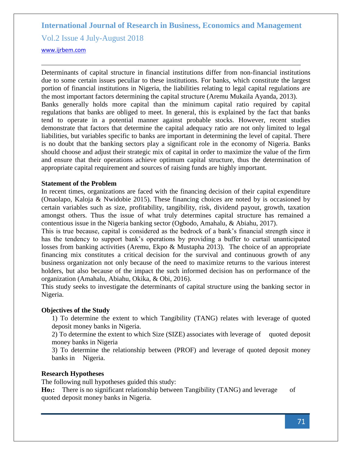Vol.2 Issue 4 July-August 2018

#### <www.ijrbem.com>

Determinants of capital structure in financial institutions differ from non-financial institutions due to some certain issues peculiar to these institutions. For banks, which constitute the largest portion of financial institutions in Nigeria, the liabilities relating to legal capital regulations are the most important factors determining the capital structure (Aremu Mukaila Ayanda, 2013). Banks generally holds more capital than the minimum capital ratio required by capital regulations that banks are obliged to meet. In general, this is explained by the fact that banks tend to operate in a potential manner against probable stocks. However, recent studies demonstrate that factors that determine the capital adequacy ratio are not only limited to legal liabilities, but variables specific to banks are important in determining the level of capital. There is no doubt that the banking sectors play a significant role in the economy of Nigeria. Banks should choose and adjust their strategic mix of capital in order to maximize the value of the firm and ensure that their operations achieve optimum capital structure, thus the determination of appropriate capital requirement and sources of raising funds are highly important.

#### **Statement of the Problem**

In recent times, organizations are faced with the financing decision of their capital expenditure (Onaolapo, Kaloja & Nwidobie 2015). These financing choices are noted by is occasioned by certain variables such as size, profitability, tangibility, risk, dividend payout, growth, taxation amongst others. Thus the issue of what truly determines capital structure has remained a contentious issue in the Nigeria banking sector (Ogbodo, Amahalu, & Abiahu, 2017).

This is true because, capital is considered as the bedrock of a bank's financial strength since it has the tendency to support bank's operations by providing a buffer to curtail unanticipated losses from banking activities (Aremu, Ekpo & Mustapha 2013). The choice of an appropriate financing mix constitutes a critical decision for the survival and continuous growth of any business organization not only because of the need to maximize returns to the various interest holders, but also because of the impact the such informed decision has on performance of the organization (Amahalu, Abiahu, Okika, & Obi, 2016).

This study seeks to investigate the determinants of capital structure using the banking sector in Nigeria.

### **Objectives of the Study**

1) To determine the extent to which Tangibility (TANG) relates with leverage of quoted deposit money banks in Nigeria.

2) To determine the extent to which Size (SIZE) associates with leverage of quoted deposit money banks in Nigeria

3) To determine the relationship between (PROF) and leverage of quoted deposit money banks in Nigeria.

#### **Research Hypotheses**

The following null hypotheses guided this study:

**Ho**<sub>1</sub>**:** There is no significant relationship between Tangibility (TANG) and leverage of quoted deposit money banks in Nigeria.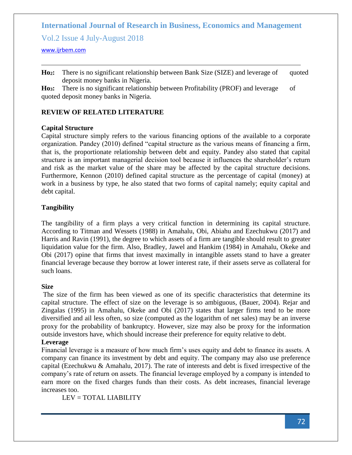Vol.2 Issue 4 July-August 2018

#### <www.ijrbem.com>

Ho<sub>2</sub>: There is no significant relationship between Bank Size (SIZE) and leverage of quoted deposit money banks in Nigeria.

**Ho<sub>3</sub>:** There is no significant relationship between Profitability (PROF) and leverage of quoted deposit money banks in Nigeria.

#### **REVIEW OF RELATED LITERATURE**

#### **Capital Structure**

Capital structure simply refers to the various financing options of the available to a corporate organization. Pandey (2010) defined "capital structure as the various means of financing a firm, that is, the proportionate relationship between debt and equity. Pandey also stated that capital structure is an important managerial decision tool because it influences the shareholder's return and risk as the market value of the share may be affected by the capital structure decisions. Furthermore, Kennon (2010) defined capital structure as the percentage of capital (money) at work in a business by type, he also stated that two forms of capital namely; equity capital and debt capital.

### **Tangibility**

The tangibility of a firm plays a very critical function in determining its capital structure. According to Titman and Wessets (1988) in Amahalu, Obi, Abiahu and Ezechukwu (2017) and Harris and Ravin (1991), the degree to which assets of a firm are tangible should result to greater liquidation value for the firm. Also, Bradley, Jawel and Hankim (1984) in Amahalu, Okeke and Obi (2017) opine that firms that invest maximally in intangible assets stand to have a greater financial leverage because they borrow at lower interest rate, if their assets serve as collateral for such loans.

#### **Size**

The size of the firm has been viewed as one of its specific characteristics that determine its capital structure. The effect of size on the leverage is so ambiguous, (Bauer, 2004). Rejar and Zingalas (1995) in Amahalu, Okeke and Obi (2017) states that larger firms tend to be more diversified and ail less often, so size (computed as the logarithm of net sales) may be an inverse proxy for the probability of bankruptcy. However, size may also be proxy for the information outside investors have, which should increase their preference for equity relative to debt.

# **Leverage**

Financial leverage is a measure of how much firm's uses equity and debt to finance its assets. A company can finance its investment by debt and equity. The company may also use preference capital (Ezechukwu & Amahalu, 2017). The rate of interests and debt is fixed irrespective of the company's rate of return on assets. The financial leverage employed by a company is intended to earn more on the fixed charges funds than their costs. As debt increases, financial leverage increases too.

LEV = TOTAL LIABILITY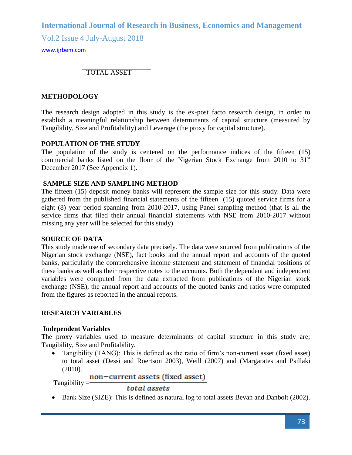Vol.2 Issue 4 July-August 2018

# <www.ijrbem.com>

TOTAL ASSET

# **METHODOLOGY**

The research design adopted in this study is the ex-post facto research design, in order to establish a meaningful relationship between determinants of capital structure (measured by Tangibility, Size and Profitability) and Leverage (the proxy for capital structure).

# **POPULATION OF THE STUDY**

The population of the study is centered on the performance indices of the fifteen (15) commercial banks listed on the floor of the Nigerian Stock Exchange from  $2010$  to  $31<sup>st</sup>$ December 2017 (See Appendix 1).

# **SAMPLE SIZE AND SAMPLING METHOD**

The fifteen (15) deposit money banks will represent the sample size for this study. Data were gathered from the published financial statements of the fifteen (15) quoted service firms for a eight (8) year period spanning from 2010-2017, using Panel sampling method (that is all the service firms that filed their annual financial statements with NSE from 2010-2017 without missing any year will be selected for this study).

# **SOURCE OF DATA**

This study made use of secondary data precisely. The data were sourced from publications of the Nigerian stock exchange (NSE), fact books and the annual report and accounts of the quoted banks, particularly the comprehensive income statement and statement of financial positions of these banks as well as their respective notes to the accounts. Both the dependent and independent variables were computed from the data extracted from publications of the Nigerian stock exchange (NSE), the annual report and accounts of the quoted banks and ratios were computed from the figures as reported in the annual reports.

# **RESEARCH VARIABLES**

# **Independent Variables**

The proxy variables used to measure determinants of capital structure in this study are; Tangibility, Size and Profitability.

• Tangibility (TANG): This is defined as the ratio of firm's non-current asset (fixed asset) to total asset (Dessi and Roertson 2003), Weill (2007) and (Margarates and Psillaki (2010).

# $T$ angibility =  $\frac{non-current\;assets\;(\text{fixed\;asset})}{T}$

total assets

• Bank Size (SIZE): This is defined as natural log to total assets Bevan and Danbolt (2002).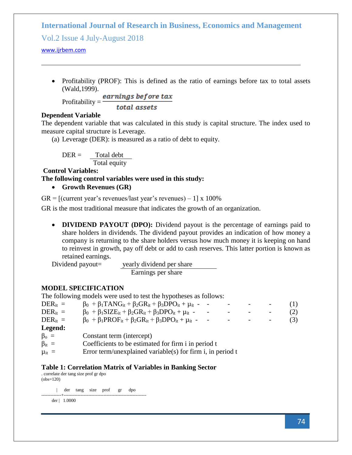Vol.2 Issue 4 July-August 2018

<www.ijrbem.com>

• Profitability (PROF): This is defined as the ratio of earnings before tax to total assets (Wald,1999).

Profitability  $=$   $\frac{earnings\ before\ tax}$ total assets

# **Dependent Variable**

The dependent variable that was calculated in this study is capital structure. The index used to measure capital structure is Leverage.

(a) Leverage (DER): is measured as a ratio of debt to equity.

 $DER =$  Total debt Total equity

**Control Variables:**

**The following control variables were used in this study:**

• **Growth Revenues (GR)** 

 $GR = [$ (current year's revenues/last year's revenues) – 1] x 100%

GR is the most traditional measure that indicates the growth of an organization.

• **DIVIDEND PAYOUT** (DPO): Dividend payout is the percentage of earnings paid to share holders in dividends. The dividend payout provides an indication of how money a company is returning to the share holders versus how much money it is keeping on hand to reinvest in growth, pay off debt or add to cash reserves. This latter portion is known as retained earnings.

Dividend payout= yearly dividend per share Earnings per share

# **MODEL SPECIFICATION**

The following models were used to test the hypotheses as follows:

| $DER_{it} =$   | $\beta_0$ + $\beta_1$ TANG <sub>it</sub> + $\beta_2$ GR <sub>it</sub> + $\beta_3$ DPO <sub>it</sub> + $\mu_{it}$ - -        |                          |     |
|----------------|-----------------------------------------------------------------------------------------------------------------------------|--------------------------|-----|
| $DER_{it} =$   | $\beta_0$ + $\beta_1$ SIZE <sub>it</sub> + $\beta_2$ GR <sub>it</sub> + $\beta_3$ DPO <sub>it</sub> + $\mu$ <sub>it</sub> - | $\overline{\phantom{a}}$ | (2) |
| $DER_{it} =$   | $\beta_0$ + $\beta_1$ PROF <sub>it</sub> + $\beta_2$ GR <sub>it</sub> + $\beta_3$ DPO <sub>it</sub> + $\mu_{it}$ -          |                          |     |
| Legend:        |                                                                                                                             |                          |     |
| $\beta_{0} =$  | Constant term (intercept)                                                                                                   |                          |     |
| $\beta_{it} =$ | Coefficients to be estimated for firm i in period t                                                                         |                          |     |

 $\mu_{it}$  = Error term/unexplained variable(s) for firm i, in period t

### **Table 1: Correlation Matrix of Variables in Banking Sector**

. correlate der tang size prof gr dpo (obs=120)

 | der tang size prof gr dpo -------------+----------------------------------------------------- der | 1.0000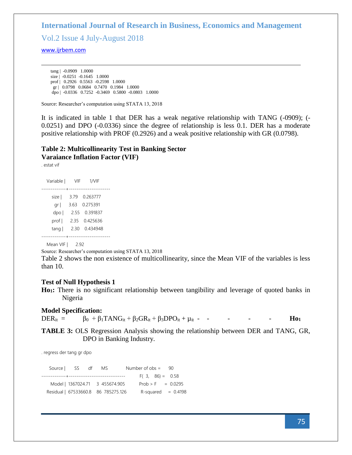Vol.2 Issue 4 July-August 2018

<www.ijrbem.com>

 tang | -0.0909 1.0000 size | -0.0251 -0.1645 1.0000 prof | 0.2926 0.5563 -0.2598 1.0000 gr | 0.0798 0.0684 0.7470 0.1984 1.0000 dpo | -0.0336 0.7252 -0.3469 0.5800 -0.0803 1.0000

Source: Researcher's computation using STATA 13, 2018

It is indicated in table 1 that DER has a weak negative relationship with TANG (-0909); (- 0.0251) and DPO (-0.0336) since the degree of relationship is less 0.1. DER has a moderate positive relationship with PROF (0.2926) and a weak positive relationship with GR (0.0798).

# **Table 2: Multicollinearity Test in Banking Sector Varaiance Inflation Factor (VIF)**

. estat vif

| Variable                   | VIF          | 1/VIF                     |
|----------------------------|--------------|---------------------------|
| ----------<br>size  <br>gr | 3.79<br>3.63 | .<br>0.263777<br>0.275391 |
| dpo                        | 2.55         | 0.391837                  |
| prof                       | 2.35         | 0.425636                  |
| tang                       | 2.30         | 0.434948                  |
|                            |              |                           |

Mean VIF | 2.92

Source: Researcher's computation using STATA 13, 2018

Table 2 shows the non existence of multicollinearity, since the Mean VIF of the variables is less than 10.

#### **Test of Null Hypothesis 1**

**Ho1:** There is no significant relationship between tangibility and leverage of quoted banks in Nigeria

#### **Model Specification:**

 $DER_{it} = \beta_0 + \beta_1 T ANG_{it} + \beta_2 GR_{it} + \beta_3 DPO_{it} + \mu_{it} - - - - - - - -$  **Ho**<sub>1</sub>

**TABLE 3:** OLS Regression Analysis showing the relationship between DER and TANG, GR, DPO in Banking Industry.

. regress der tang gr dpo

| Source SS df MS |                                     | Number of $obs = 90$ |                       |
|-----------------|-------------------------------------|----------------------|-----------------------|
|                 |                                     | $F(3, 86) = 0.58$    |                       |
|                 | Model   1367024.71 3 455674.905     |                      | $Prob > F = 0.0295$   |
|                 | Residual   67533660.8 86 785275.126 |                      | $R$ -squared = 0.4198 |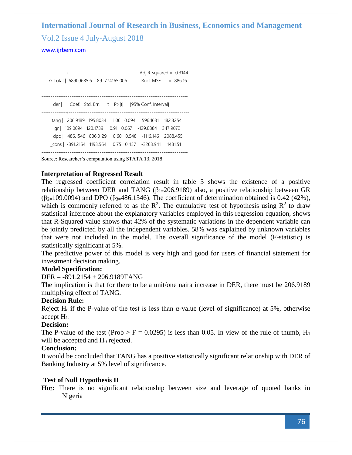# **International Journal of Research in Business, Economics and Management**  Vol.2 Issue 4 July-August 2018

<www.ijrbem.com>

-------------+------------------------------ Adj R-squared = 0.3144 G Total | 68900685.6 89 774165.006 Root MSE = 886.16 ----------------------------------------------------------------------------- der | Coef. Std. Err. t P>|t| [95% Conf. Interval] -------------+--------------------------------------------------------------- tang | 206.9189 195.8034 1.06 0.094 596.1631 182.3254 gr | 109.0094 120.1739 0.91 0.067 -129.8884 347.9072 dpo | 486.1546 806.0129 0.60 0.548 -1116.146 2088.455 \_cons | -891.2154 1193.564 0.75 0.457 -3263.941 1481.51 ------------------------------------------------------------------------------

Source: Researcher's computation using STATA 13, 2018

### **Interpretation of Regressed Result**

The regressed coefficient correlation result in table 3 shows the existence of a positive relationship between DER and TANG ( $β<sub>1=</sub>206.9189$ ) also, a positive relationship between GR  $(\beta_{2=109.0094})$  and DPO ( $\beta_{3=486.1546}$ ). The coefficient of determination obtained is 0.42 (42%), which is commonly referred to as the  $\mathbb{R}^2$ . The cumulative test of hypothesis using  $\mathbb{R}^2$  to draw statistical inference about the explanatory variables employed in this regression equation, shows that R-Squared value shows that 42% of the systematic variations in the dependent variable can be jointly predicted by all the independent variables. 58% was explained by unknown variables that were not included in the model. The overall significance of the model (F-statistic) is statistically significant at 5%.

The predictive power of this model is very high and good for users of financial statement for investment decision making.

#### **Model Specification:**

DER = -891.2154 + 206.9189TANG

The implication is that for there to be a unit/one naira increase in DER, there must be 206.9189 multiplying effect of TANG.

### **Decision Rule:**

Reject H<sub>o</sub> if the P-value of the test is less than  $\alpha$ -value (level of significance) at 5%, otherwise accept H1.

#### **Decision:**

The P-value of the test (Prob > F = 0.0295) is less than 0.05. In view of the rule of thumb,  $H_1$ will be accepted and  $H_0$  rejected.

### **Conclusion:**

It would be concluded that TANG has a positive statistically significant relationship with DER of Banking Industry at 5% level of significance.

### **Test of Null Hypothesis II**

**Ho2:** There is no significant relationship between size and leverage of quoted banks in Nigeria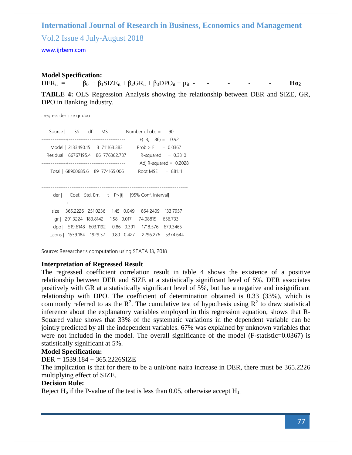Vol.2 Issue 4 July-August 2018

#### <www.ijrbem.com>

#### **Model Specification:**

DER<sub>it</sub> =  $β_0 + β_1SIZE_{it} + β_2GR_{it} + β_3DPO_{it} + μ_{it}$  - - - - - - **Ho**<sub>2</sub>

**TABLE 4:** OLS Regression Analysis showing the relationship between DER and SIZE, GR, DPO in Banking Industry.

. regress der size gr dpo

|                                     |                               |  | Source   SS df MS Number of obs = 90                   |                          |
|-------------------------------------|-------------------------------|--|--------------------------------------------------------|--------------------------|
|                                     | ----------------------------- |  | $F(3, 86) = 0.92$                                      |                          |
| Model   2133490.15 3 711163.383     |                               |  | $Prob > F = 0.0367$                                    |                          |
| Residual   66767195.4 86 776362.737 |                               |  |                                                        | $R$ -squared = 0.3310    |
|                                     |                               |  |                                                        | Adj R-squared = $0.2028$ |
| Total   68900685.6 89 774165.006    |                               |  | Root MSE $= 881.11$                                    |                          |
|                                     |                               |  |                                                        |                          |
|                                     |                               |  |                                                        |                          |
|                                     |                               |  | der   Coef. Std. Err. t P> t  [95% Conf. Interval]     |                          |
|                                     |                               |  |                                                        |                          |
|                                     |                               |  | size   365.2226 251.0236 1.45 0.049 864.2409 133.7957  |                          |
|                                     |                               |  | gr   291.3224 183.8142 1.58 0.017 -74.08815 656.733    |                          |
|                                     |                               |  | dpo   -519.6148 603.1192 0.86 0.391 -1718.576 679.3465 |                          |
|                                     |                               |  | cons   1539.184 1929.37 0.80 0.427 -2296.276 5374.644  |                          |
|                                     |                               |  |                                                        |                          |

Source: Researcher's computation using STATA 13, 2018

#### **Interpretation of Regressed Result**

The regressed coefficient correlation result in table 4 shows the existence of a positive relationship between DER and SIZE at a statistically significant level of 5%. DER associates positively with GR at a statistically significant level of 5%, but has a negative and insignificant relationship with DPO. The coefficient of determination obtained is 0.33 (33%), which is commonly referred to as the  $\mathbb{R}^2$ . The cumulative test of hypothesis using  $\mathbb{R}^2$  to draw statistical inference about the explanatory variables employed in this regression equation, shows that R-Squared value shows that 33% of the systematic variations in the dependent variable can be jointly predicted by all the independent variables. 67% was explained by unknown variables that were not included in the model. The overall significance of the model (F-statistic=0.0367) is statistically significant at 5%.

#### **Model Specification:**

DER = 1539.184 + 365.2226SIZE

The implication is that for there to be a unit/one naira increase in DER, there must be 365.2226 multiplying effect of SIZE.

#### **Decision Rule:**

Reject  $H_0$  if the P-value of the test is less than 0.05, otherwise accept  $H_1$ .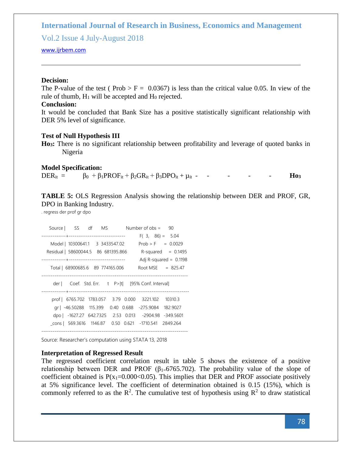Vol.2 Issue 4 July-August 2018

#### <www.ijrbem.com>

#### **Decision:**

The P-value of the test ( $Prob > F = 0.0367$ ) is less than the critical value 0.05. In view of the rule of thumb,  $H_1$  will be accepted and  $H_0$  rejected.

# **Conclusion:**

It would be concluded that Bank Size has a positive statistically significant relationship with DER 5% level of significance.

#### **Test of Null Hypothesis III**

**Ho3:** There is no significant relationship between profitability and leverage of quoted banks in Nigeria

#### **Model Specification:**

| $DER_{it}$ = | $\beta_0$ + $\beta_1$ PROF <sub>it</sub> + $\beta_2$ GR <sub>it</sub> + $\beta_3$ DPO <sub>it</sub> + $\mu_{it}$ - |  |  |  |  |  | H03 |
|--------------|--------------------------------------------------------------------------------------------------------------------|--|--|--|--|--|-----|
|--------------|--------------------------------------------------------------------------------------------------------------------|--|--|--|--|--|-----|

**TABLE 5:** OLS Regression Analysis showing the relationship between DER and PROF, GR, DPO in Banking Industry.

. regress der prof gr dpo

|                                     | Source SS df MS         |                                                       | Number of $obs = 90$                               |                          |
|-------------------------------------|-------------------------|-------------------------------------------------------|----------------------------------------------------|--------------------------|
|                                     |                         |                                                       | $F(3, 86) = 5.04$                                  |                          |
| Model   10300641.1 3 3433547.02     |                         |                                                       | $Prob > F = 0.0029$                                |                          |
| Residual   58600044.5 86 681395.866 |                         |                                                       |                                                    | $R$ -squared = 0.1495    |
|                                     |                         |                                                       |                                                    | Adj R-squared = $0.1198$ |
| Total   68900685.6 89 774165.006    |                         |                                                       | Root MSE $= 825.47$                                |                          |
|                                     |                         |                                                       |                                                    |                          |
|                                     |                         |                                                       |                                                    |                          |
|                                     |                         |                                                       | der   Coef. Std. Err. t P> t  [95% Conf. Interval] |                          |
|                                     |                         |                                                       |                                                    |                          |
|                                     |                         | prof   6765.702 1783.057 3.79 0.000 3221.102 10310.3  |                                                    |                          |
|                                     |                         | gr   -46.50288 115.399 0.40 0.688 -275.9084 182.9027  |                                                    |                          |
|                                     | dpo   -1627.27 642.7325 |                                                       | 2.53 0.013 -2904.98 -349.5601                      |                          |
|                                     |                         | cons   569.3616 1146.87 0.50 0.621 -1710.541 2849.264 |                                                    |                          |

Source: Researcher's computation using STATA 13, 2018

#### **Interpretation of Regressed Result**

The regressed coefficient correlation result in table 5 shows the existence of a positive relationship between DER and PROF ( $\beta_{1=6}$ 765.702). The probability value of the slope of coefficient obtained is  $P(x_1=0.000<0.05)$ . This implies that DER and PROF associate positively at 5% significance level. The coefficient of determination obtained is 0.15 (15%), which is commonly referred to as the  $\mathbb{R}^2$ . The cumulative test of hypothesis using  $\mathbb{R}^2$  to draw statistical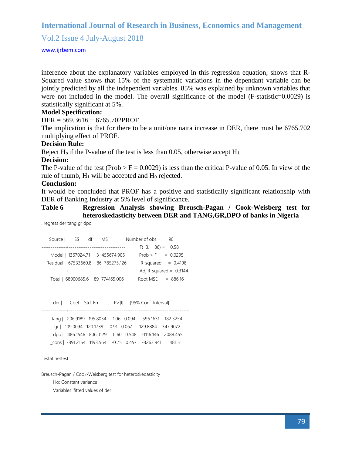Vol.2 Issue 4 July-August 2018

#### <www.ijrbem.com>

inference about the explanatory variables employed in this regression equation, shows that R-Squared value shows that 15% of the systematic variations in the dependant variable can be jointly predicted by all the independent variables. 85% was explained by unknown variables that were not included in the model. The overall significance of the model (F-statistic=0.0029) is statistically significant at 5%.

# **Model Specification:**

DER = 569.3616 + 6765.702PROF

The implication is that for there to be a unit/one naira increase in DER, there must be 6765.702 multiplying effect of PROF.

#### **Decision Rule:**

Reject  $H_0$  if the P-value of the test is less than 0.05, otherwise accept  $H_1$ .

#### **Decision:**

The P-value of the test (Prob > F = 0.0029) is less than the critical P-value of 0.05. In view of the rule of thumb,  $H_1$  will be accepted and  $H_0$  rejected.

#### **Conclusion:**

It would be concluded that PROF has a positive and statistically significant relationship with DER of Banking Industry at 5% level of significance.

#### **Table 6 Regression Analysis showing Breusch-Pagan / Cook-Weisberg test for heteroskedasticity between DER and TANG,GR,DPO of banks in Nigeria**

. regress der tang gr dpo

|       |  | Source SS df MS                                        | Number of $obs =$ | 90                       |
|-------|--|--------------------------------------------------------|-------------------|--------------------------|
|       |  |                                                        | $F(3, 86) = 0.58$ |                          |
|       |  | Model   1367024.71 3 455674.905                        |                   | $Prob > F = 0.0295$      |
|       |  | Residual   67533660.8 86 785275.126                    |                   | $R$ -squared = 0.4198    |
|       |  |                                                        |                   | Adj R-squared = $0.3144$ |
|       |  | Total   68900685.6 89 774165.006                       |                   | Root MSE $= 886.16$      |
|       |  |                                                        |                   |                          |
|       |  |                                                        |                   |                          |
| der I |  | Coef. Std. Err. t P> t  [95% Conf. Interval]           |                   |                          |
|       |  |                                                        |                   |                          |
|       |  | tang   206.9189 195.8034 1.06 0.094 -596.1631 182.3254 |                   |                          |
|       |  | ar   109.0094 120.1739 0.91 0.067 -129.8884 347.9072   |                   |                          |
|       |  | dpo   486.1546 806.0129 0.60 0.548 -1116.146 2088.455  |                   |                          |

\_cons | -891.2154 1193.564 -0.75 0.457 -3263.941 1481.51

. estat hettest

Breusch-Pagan / Cook-Weisberg test for heteroskedasticity

------------------------------------------------------------------------------

Ho: Constant variance

Variables: fitted values of der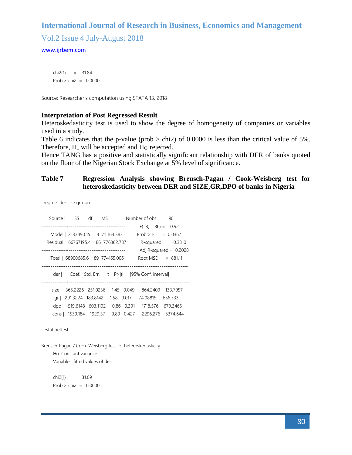Vol.2 Issue 4 July-August 2018

#### <www.ijrbem.com>

 chi2(1) = 31.84  $Prob > chi2 = 0.0000$ 

Source: Researcher's computation using STATA 13, 2018

#### **Interpretation of Post Regressed Result**

Heteroskedasticity test is used to show the degree of homogeneity of companies or variables used in a study.

Table 6 indicates that the p-value (prob  $>$  chi2) of 0.0000 is less than the critical value of 5%. Therefore,  $H_1$  will be accepted and  $H_0$  rejected.

Hence TANG has a positive and statistically significant relationship with DER of banks quoted on the floor of the Nigerian Stock Exchange at 5% level of significance.

#### **Table 7 Regression Analysis showing Breusch-Pagan / Cook-Weisberg test for heteroskedasticity between DER and SIZE,GR,DPO of banks in Nigeria**

. regress der size gr dpo

|                                     | Source SS df MS                  |  | Number of $obs = 90$                               |                          |
|-------------------------------------|----------------------------------|--|----------------------------------------------------|--------------------------|
|                                     |                                  |  | $F(3, 86) = 0.92$                                  |                          |
|                                     | Model   2133490.15 3 711163.383  |  | $Prob > F = 0.0367$                                |                          |
| Residual   66767195.4 86 776362.737 |                                  |  |                                                    | $R$ -squared = 0.3310    |
|                                     |                                  |  |                                                    | Adj R-squared = $0.2028$ |
|                                     | Total   68900685.6 89 774165.006 |  | Root MSE $= 881.11$                                |                          |
|                                     |                                  |  |                                                    |                          |
|                                     |                                  |  | der   Coef. Std. Err. t P> t  [95% Conf. Interval] |                          |
|                                     |                                  |  |                                                    |                          |
|                                     | size   365.2226 251.0236         |  | 1.45 0.049 -864.2409                               | 133.7957                 |
|                                     | gr   291.3224 183.8142           |  | 1.58 0.017 -74.08815 656.733                       |                          |
|                                     | dpo   -519.6148 603.1192         |  | 0.86 0.391 -1718.576 679.3465                      |                          |
|                                     | cons   1539.184 1929.37          |  | 0.80 0.427 -2296.276 5374.644                      |                          |
|                                     |                                  |  |                                                    |                          |

------------------------------------------------------------------------------

. estat hettest

Breusch-Pagan / Cook-Weisberg test for heteroskedasticity Ho: Constant variance Variables: fitted values of der

 chi2(1) = 31.09  $Prob > chi2 = 0.0000$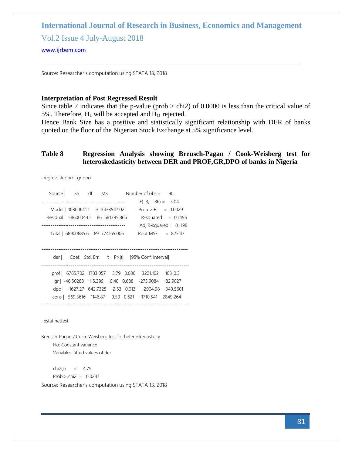Vol.2 Issue 4 July-August 2018

#### <www.ijrbem.com>

Source: Researcher's computation using STATA 13, 2018

#### **Interpretation of Post Regressed Result**

Since table 7 indicates that the p-value (prob  $>$  chi2) of 0.0000 is less than the critical value of 5%. Therefore,  $H_1$  will be accepted and  $H_0$  rejected.

Hence Bank Size has a positive and statistically significant relationship with DER of banks quoted on the floor of the Nigerian Stock Exchange at 5% significance level.

### **Table 8 Regression Analysis showing Breusch-Pagan / Cook-Weisberg test for heteroskedasticity between DER and PROF,GR,DPO of banks in Nigeria**

. regress der prof gr dpo

|                                                       | Source   SS df MS Number of obs = 90 |                     |                          |
|-------------------------------------------------------|--------------------------------------|---------------------|--------------------------|
|                                                       |                                      | $F(3, 86) = 5.04$   |                          |
| Model   10300641.1 3 3433547.02                       |                                      | $Prob > F = 0.0029$ |                          |
| Residual   58600044.5 86 681395.866                   |                                      |                     | $R$ -squared = 0.1495    |
|                                                       |                                      |                     | Adj R-squared = $0.1198$ |
| Total   68900685.6 89 774165.006                      |                                      |                     | Root MSE $= 825.47$      |
|                                                       |                                      |                     |                          |
|                                                       |                                      |                     |                          |
|                                                       |                                      |                     |                          |
| der   Coef. Std. Err. t P> t  [95% Conf. Interval]    |                                      |                     |                          |
|                                                       |                                      |                     |                          |
| prof   6765.702 1783.057 3.79 0.000 3221.102          |                                      |                     | 10310.3                  |
| gr   -46.50288 115.399 0.40 0.688 -275.9084           |                                      |                     | 182.9027                 |
| dpo   -1627.27 642.7325 2.53 0.013 -2904.98 -349.5601 |                                      |                     |                          |
| cons   569.3616 1146.87 0.50 0.621 -1710.541 2849.264 |                                      |                     |                          |

. estat hettest

Breusch-Pagan / Cook-Weisberg test for heteroskedasticity Ho: Constant variance Variables: fitted values of der

 $chi2(1) = 4.79$  $Prob > chi2 = 0.0287$ Source: Researcher's computation using STATA 13, 2018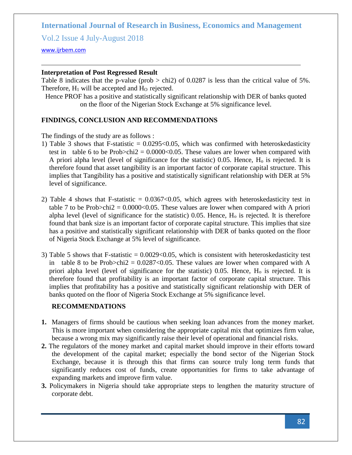Vol.2 Issue 4 July-August 2018

<www.ijrbem.com>

# **Interpretation of Post Regressed Result**

Table 8 indicates that the p-value (prob  $>$  chi2) of 0.0287 is less than the critical value of 5%. Therefore,  $H_1$  will be accepted and  $H_0$  rejected.

Hence PROF has a positive and statistically significant relationship with DER of banks quoted on the floor of the Nigerian Stock Exchange at 5% significance level.

# **FINDINGS, CONCLUSION AND RECOMMENDATIONS**

The findings of the study are as follows :

- 1) Table 3 shows that F-statistic  $= 0.0295 \times 0.05$ , which was confirmed with heteroskedasticity test in table 6 to be Prob $>$ chi2 = 0.0000 $<$ 0.05. These values are lower when compared with A priori alpha level (level of significance for the statistic) 0.05. Hence,  $H_0$  is rejected. It is therefore found that asset tangibility is an important factor of corporate capital structure. This implies that Tangibility has a positive and statistically significant relationship with DER at 5% level of significance.
- 2) Table 4 shows that F-statistic  $= 0.0367 \le 0.05$ , which agrees with heteroskedasticity test in table 7 to be Prob $>$ chi2 = 0.0000<0.05. These values are lower when compared with A priori alpha level (level of significance for the statistic)  $0.05$ . Hence,  $H_0$  is rejected. It is therefore found that bank size is an important factor of corporate capital structure. This implies that size has a positive and statistically significant relationship with DER of banks quoted on the floor of Nigeria Stock Exchange at 5% level of significance.
- 3) Table 5 shows that F-statistic  $= 0.0029 \le 0.05$ , which is consistent with heteroskedasticity test in table 8 to be Prob $>$ chi2 = 0.0287<0.05. These values are lower when compared with A priori alpha level (level of significance for the statistic)  $0.05$ . Hence,  $H_0$  is rejected. It is therefore found that profitability is an important factor of corporate capital structure. This implies that profitability has a positive and statistically significant relationship with DER of banks quoted on the floor of Nigeria Stock Exchange at 5% significance level.

### **RECOMMENDATIONS**

- **1.** Managers of firms should be cautious when seeking loan advances from the money market. This is more important when considering the appropriate capital mix that optimizes firm value, because a wrong mix may significantly raise their level of operational and financial risks.
- **2.** The regulators of the money market and capital market should improve in their efforts toward the development of the capital market; especially the bond sector of the Nigerian Stock Exchange, because it is through this that firms can source truly long term funds that significantly reduces cost of funds, create opportunities for firms to take advantage of expanding markets and improve firm value.
- **3.** Policymakers in Nigeria should take appropriate steps to lengthen the maturity structure of corporate debt.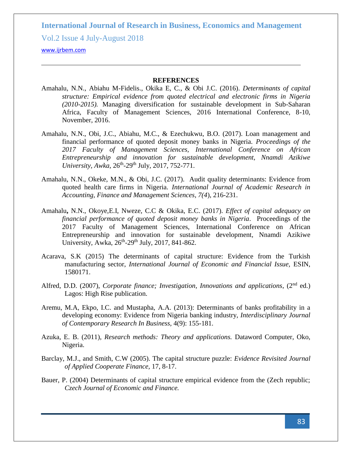Vol.2 Issue 4 July-August 2018

#### <www.ijrbem.com>

#### **REFERENCES**

- Amahalu, N.N., Abiahu M-Fidelis., Okika E, C., & Obi J.C. (2016). *Determinants of capital structure: Empirical evidence from quoted electrical and electronic firms in Nigeria (2010-2015).* Managing diversification for sustainable development in Sub-Saharan Africa, Faculty of Management Sciences, 2016 International Conference, 8-10, November, 2016.
- Amahalu, N.N., Obi, J.C., Abiahu, M.C., & Ezechukwu, B.O. (2017). Loan management and financial performance of quoted deposit money banks in Nigeria. *Proceedings of the 2017 Faculty of Management Sciences, International Conference on African Entrepreneurship and innovation for sustainable development, Nnamdi Azikiwe*  University, Awka, 26<sup>th</sup>-29<sup>th</sup> July, 2017, 752-771.
- Amahalu, N.N., Okeke, M.N., & Obi, J.C. (2017). Audit quality determinants: Evidence from quoted health care firms in Nigeria. *International Journal of Academic Research in Accounting, Finance and Management Sciences, 7(4*), 216-231.
- Amahalu**,** N.N., Okoye,E.I, Nweze, C.C & Okika, E.C. (2017). *Effect of capital adequacy on financial performance of quoted deposit money banks in Nigeria*. Proceedings of the 2017 Faculty of Management Sciences, International Conference on African Entrepreneurship and innovation for sustainable development, Nnamdi Azikiwe University, Awka, 26<sup>th</sup>-29<sup>th</sup> July, 2017, 841-862.
- Acarava, S.K (2015) The determinants of capital structure: Evidence from the Turkish manufacturing sector, *International Journal of Economic and Financial Issue,* ESIN, 1580171.
- Alfred, D.D. (2007), *Corporate finance; Investigation, Innovations and applications*, (2<sup>nd</sup> ed.) Lagos: High Rise publication.
- Aremu, M.A, Ekpo, I.C. and Mustapha, A.A. (2013): Determinants of banks profitability in a developing economy: Evidence from Nigeria banking industry, *Interdisciplinary Journal of Contemporary Research In Business,* 4(9): 155-181.
- Azuka, E. B. (2011), *Research methods: Theory and applications.* Dataword Computer, Oko, Nigeria.
- Barclay, M.J., and Smith, C.W (2005). The capital structure puzzle: *Evidence Revisited Journal of Applied Cooperate Finance,* 17, 8-17.
- Bauer, P. (2004) Determinants of capital structure empirical evidence from the (Zech republic; *Czech Journal of Economic and Finance.*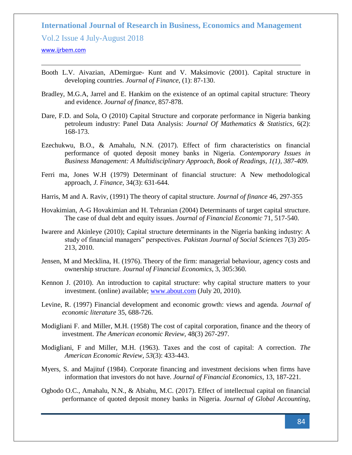Vol.2 Issue 4 July-August 2018

#### <www.ijrbem.com>

- Booth L.V. Aivazian, ADemirgue- Kunt and V. Maksimovic (2001). Capital structure in developing countries. *Journal of Finance*, (1): 87-130.
- Bradley, M.G.A, Jarrel and E. Hankim on the existence of an optimal capital structure: Theory and evidence. *Journal of finance*, 857-878.
- Dare, F.D. and Sola, O (2010) Capital Structure and corporate performance in Nigeria banking petroleum industry: Panel Data Analysis: *Journal Of Mathematics & Statistics*, 6(2): 168-173.
- Ezechukwu, B.O., & Amahalu, N.N. (2017). Effect of firm characteristics on financial performance of quoted deposit money banks in Nigeria. *Contemporary Issues in Business Management: A Multidisciplinary Approach, Book of Readings, 1(1), 387-409.*
- Ferri ma, Jones W.H (1979) Determinant of financial structure: A New methodological approach, *J. Finance*, 34(3): 631-644.
- Harris, M and A. Raviv, (1991) The theory of capital structure. *Journal of finance* 46, 297-355
- Hovakimian, A-G Hovakimian and H. Tehranian (2004) Determinants of target capital structure. The case of dual debt and equity issues. *Journal of Financial Economic* 71, 517-540.
- Iwarere and Akinleye (2010); Capital structure determinants in the Nigeria banking industry: A study of financial managers" perspectives. *Pakistan Journal of Social Sciences* 7(3) 205- 213, 2010.
- Jensen, M and Mecklina, H. (1976). Theory of the firm: managerial behaviour, agency costs and ownership structure. *Journal of Financial Economics*, 3, 305:360.
- Kennon J. (2010). An introduction to capital structure: why capital structure matters to your investment. (online) available; [www.about.com](http://www.about.com/) (July 20, 2010).
- Levine, R. (1997) Financial development and economic growth: views and agenda. *Journal of economic literature* 35, 688-726.
- Modigliani F. and Miller, M.H. (1958) The cost of capital corporation, finance and the theory of investment. *The American economic Review,* 48(3) 267-297.
- Modigliani, F and Miller, M.H. (1963). Taxes and the cost of capital: A correction. *The American Economic Review, 53*(3): 433-443.
- Myers, S. and Majituf (1984). Corporate financing and investment decisions when firms have information that investors do not have. *Journal of Financial Economics*, 13, 187-221.
- Ogbodo O.C., Amahalu, N.N., & Abiahu, M.C. (2017). Effect of intellectual capital on financial performance of quoted deposit money banks in Nigeria. *Journal of Global Accounting,*